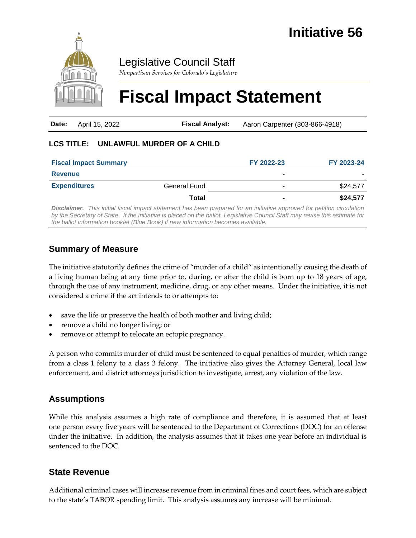

Legislative Council Staff

*Nonpartisan Services for Colorado's Legislature*

# **Fiscal Impact Statement**

| <b>Date:</b> April 15, 2022 | <b>Fiscal Analyst:</b> | Aaron Carpenter (303-866-4918) |
|-----------------------------|------------------------|--------------------------------|
|                             |                        |                                |

#### **LCS TITLE: UNLAWFUL MURDER OF A CHILD**

| <b>Fiscal Impact Summary</b> |                     | FY 2022-23 | FY 2023-24 |
|------------------------------|---------------------|------------|------------|
| <b>Revenue</b>               |                     | -          |            |
| <b>Expenditures</b>          | <b>General Fund</b> | -          | \$24,577   |
|                              | Total               |            | \$24,577   |

*Disclaimer. This initial fiscal impact statement has been prepared for an initiative approved for petition circulation by the Secretary of State. If the initiative is placed on the ballot, Legislative Council Staff may revise this estimate for the ballot information booklet (Blue Book) if new information becomes available.*

## **Summary of Measure**

The initiative statutorily defines the crime of "murder of a child" as intentionally causing the death of a living human being at any time prior to, during, or after the child is born up to 18 years of age, through the use of any instrument, medicine, drug, or any other means. Under the initiative, it is not considered a crime if the act intends to or attempts to:

- save the life or preserve the health of both mother and living child;
- remove a child no longer living; or
- remove or attempt to relocate an ectopic pregnancy.

A person who commits murder of child must be sentenced to equal penalties of murder, which range from a class 1 felony to a class 3 felony. The initiative also gives the Attorney General, local law enforcement, and district attorneys jurisdiction to investigate, arrest, any violation of the law.

## **Assumptions**

While this analysis assumes a high rate of compliance and therefore, it is assumed that at least one person every five years will be sentenced to the Department of Corrections (DOC) for an offense under the initiative. In addition, the analysis assumes that it takes one year before an individual is sentenced to the DOC.

#### **State Revenue**

Additional criminal cases will increase revenue from in criminal fines and court fees, which are subject to the state's TABOR spending limit. This analysis assumes any increase will be minimal.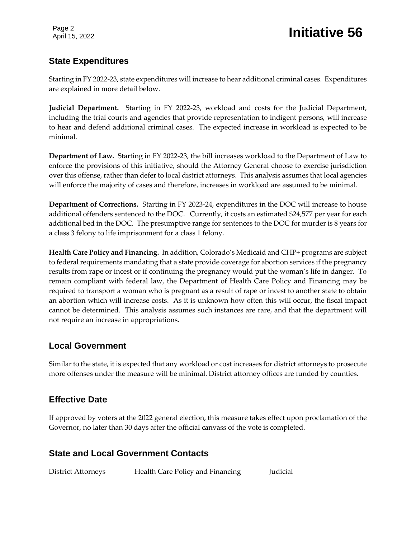## **State Expenditures**

Starting in FY 2022-23, state expenditures will increase to hear additional criminal cases. Expenditures are explained in more detail below.

**Judicial Department.** Starting in FY 2022-23, workload and costs for the Judicial Department, including the trial courts and agencies that provide representation to indigent persons, will increase to hear and defend additional criminal cases. The expected increase in workload is expected to be minimal.

**Department of Law.** Starting in FY 2022-23, the bill increases workload to the Department of Law to enforce the provisions of this initiative, should the Attorney General choose to exercise jurisdiction over this offense, rather than defer to local district attorneys. This analysis assumes that local agencies will enforce the majority of cases and therefore, increases in workload are assumed to be minimal.

**Department of Corrections.** Starting in FY 2023-24, expenditures in the DOC will increase to house additional offenders sentenced to the DOC. Currently, it costs an estimated \$24,577 per year for each additional bed in the DOC. The presumptive range for sentences to the DOC for murder is 8 years for a class 3 felony to life imprisonment for a class 1 felony.

**Health Care Policy and Financing.** In addition, Colorado's Medicaid and CHP+ programs are subject to federal requirements mandating that a state provide coverage for abortion services if the pregnancy results from rape or incest or if continuing the pregnancy would put the woman's life in danger. To remain compliant with federal law, the Department of Health Care Policy and Financing may be required to transport a woman who is pregnant as a result of rape or incest to another state to obtain an abortion which will increase costs. As it is unknown how often this will occur, the fiscal impact cannot be determined. This analysis assumes such instances are rare, and that the department will not require an increase in appropriations.

#### **Local Government**

Similar to the state, it is expected that any workload or cost increases for district attorneys to prosecute more offenses under the measure will be minimal. District attorney offices are funded by counties.

## **Effective Date**

If approved by voters at the 2022 general election, this measure takes effect upon proclamation of the Governor, no later than 30 days after the official canvass of the vote is completed.

## **State and Local Government Contacts**

| <b>District Attorneys</b> | Health Care Policy and Financing | Judicial |
|---------------------------|----------------------------------|----------|
|---------------------------|----------------------------------|----------|